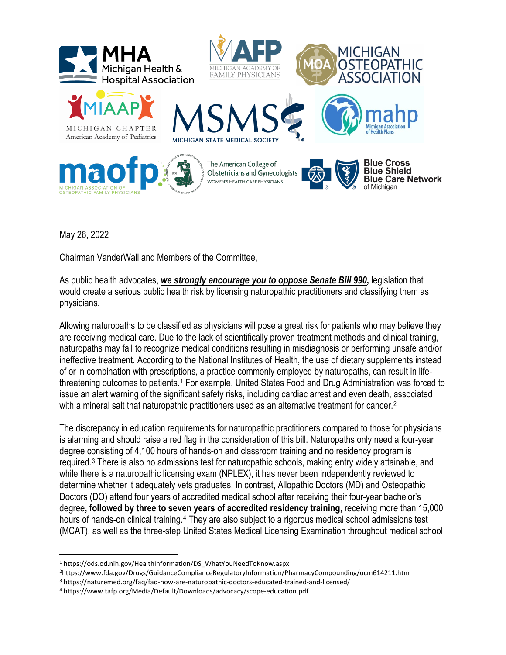

May 26, 2022

Chairman VanderWall and Members of the Committee,

As public health advocates, *we strongly encourage you to oppose Senate Bill 990***,** legislation that would create a serious public health risk by licensing naturopathic practitioners and classifying them as physicians.

Allowing naturopaths to be classified as physicians will pose a great risk for patients who may believe they are receiving medical care. Due to the lack of scientifically proven treatment methods and clinical training, naturopaths may fail to recognize medical conditions resulting in misdiagnosis or performing unsafe and/or ineffective treatment. According to the National Institutes of Health, the use of dietary supplements instead of or in combination with prescriptions, a practice commonly employed by naturopaths, can result in lifethreatening outcomes to patients.[1](#page-0-0) For example, United States Food and Drug Administration was forced to issue an alert warning of the significant safety risks, including cardiac arrest and even death, associated with a mineral salt that naturopathic practitioners used as an alternative treatment for cancer.<sup>[2](#page-0-1)</sup>

The discrepancy in education requirements for naturopathic practitioners compared to those for physicians is alarming and should raise a red flag in the consideration of this bill. Naturopaths only need a four-year degree consisting of 4,100 hours of hands-on and classroom training and no residency program is required.[3](#page-0-2) There is also no admissions test for naturopathic schools, making entry widely attainable, and while there is a naturopathic licensing exam (NPLEX), it has never been independently reviewed to determine whether it adequately vets graduates. In contrast, Allopathic Doctors (MD) and Osteopathic Doctors (DO) attend four years of accredited medical school after receiving their four-year bachelor's degree**, followed by three to seven years of accredited residency training,** receiving more than 15,000 hours of hands-on clinical training.<sup>[4](#page-0-3)</sup> They are also subject to a rigorous medical school admissions test (MCAT), as well as the three-step United States Medical Licensing Examination throughout medical school

<span id="page-0-0"></span><sup>1</sup> https://ods.od.nih.gov/HealthInformation/DS\_WhatYouNeedToKnow.aspx

<span id="page-0-1"></span><sup>2</sup>https://www.fda.gov/Drugs/GuidanceComplianceRegulatoryInformation/PharmacyCompounding/ucm614211.htm

<sup>3</sup> https://naturemed.org/faq/faq-how-are-naturopathic-doctors-educated-trained-and-licensed/

<span id="page-0-3"></span><span id="page-0-2"></span><sup>4</sup> https://www.tafp.org/Media/Default/Downloads/advocacy/scope-education.pdf